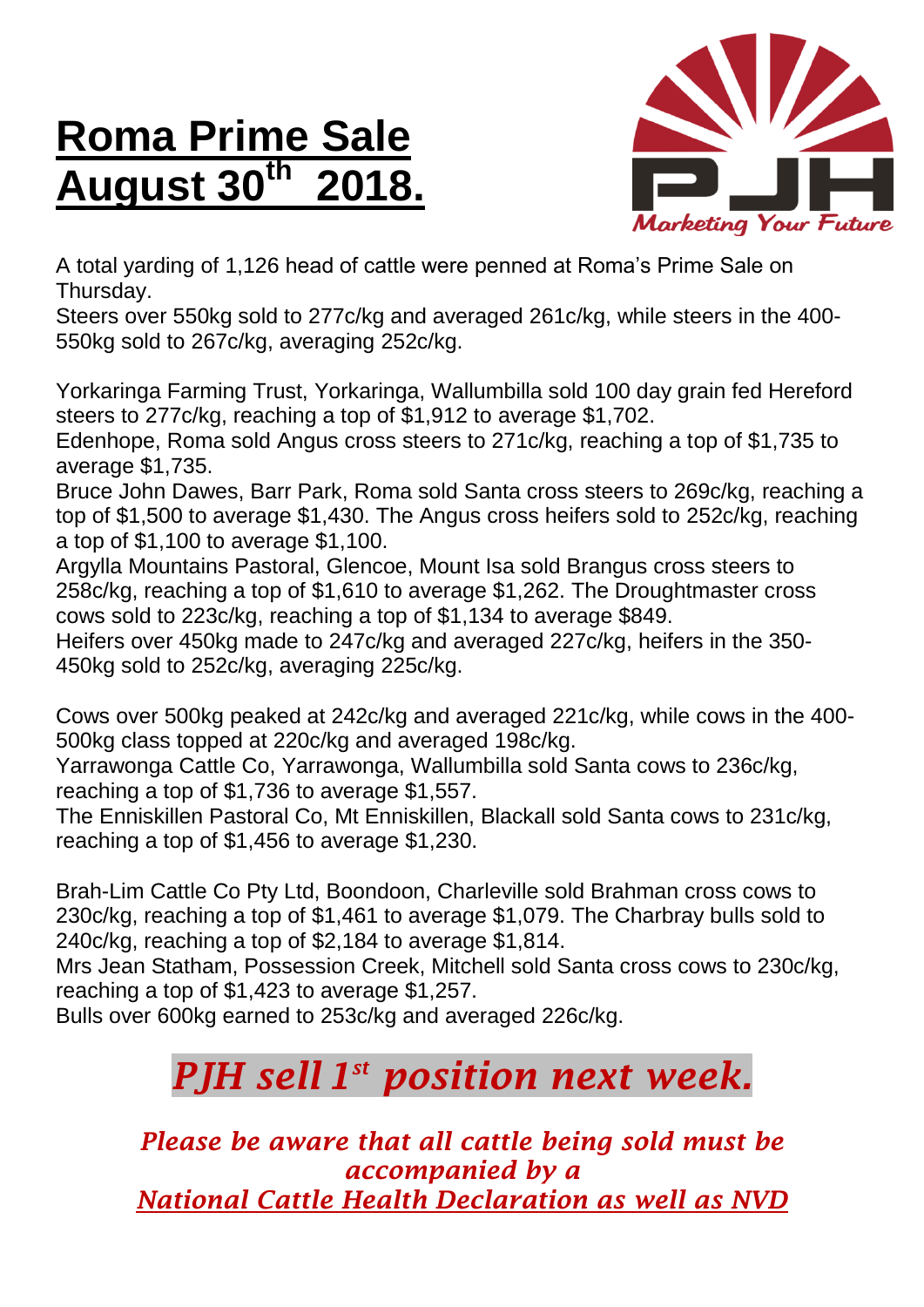## **Roma Prime Sale August 30th 2018.**



A total yarding of 1,126 head of cattle were penned at Roma's Prime Sale on Thursday.

Steers over 550kg sold to 277c/kg and averaged 261c/kg, while steers in the 400- 550kg sold to 267c/kg, averaging 252c/kg.

Yorkaringa Farming Trust, Yorkaringa, Wallumbilla sold 100 day grain fed Hereford steers to 277c/kg, reaching a top of \$1,912 to average \$1,702.

Edenhope, Roma sold Angus cross steers to 271c/kg, reaching a top of \$1,735 to average \$1,735.

Bruce John Dawes, Barr Park, Roma sold Santa cross steers to 269c/kg, reaching a top of \$1,500 to average \$1,430. The Angus cross heifers sold to 252c/kg, reaching a top of \$1,100 to average \$1,100.

Argylla Mountains Pastoral, Glencoe, Mount Isa sold Brangus cross steers to 258c/kg, reaching a top of \$1,610 to average \$1,262. The Droughtmaster cross cows sold to 223c/kg, reaching a top of \$1,134 to average \$849.

Heifers over 450kg made to 247c/kg and averaged 227c/kg, heifers in the 350- 450kg sold to 252c/kg, averaging 225c/kg.

Cows over 500kg peaked at 242c/kg and averaged 221c/kg, while cows in the 400- 500kg class topped at 220c/kg and averaged 198c/kg.

Yarrawonga Cattle Co, Yarrawonga, Wallumbilla sold Santa cows to 236c/kg, reaching a top of \$1,736 to average \$1,557.

The Enniskillen Pastoral Co, Mt Enniskillen, Blackall sold Santa cows to 231c/kg, reaching a top of \$1,456 to average \$1,230.

Brah-Lim Cattle Co Pty Ltd, Boondoon, Charleville sold Brahman cross cows to 230c/kg, reaching a top of \$1,461 to average \$1,079. The Charbray bulls sold to 240c/kg, reaching a top of \$2,184 to average \$1,814.

Mrs Jean Statham, Possession Creek, Mitchell sold Santa cross cows to 230c/kg, reaching a top of \$1,423 to average \$1,257.

Bulls over 600kg earned to 253c/kg and averaged 226c/kg.

## *PJH sell 1 st position next week.*

*Please be aware that all cattle being sold must be accompanied by a National Cattle Health Declaration as well as NVD*